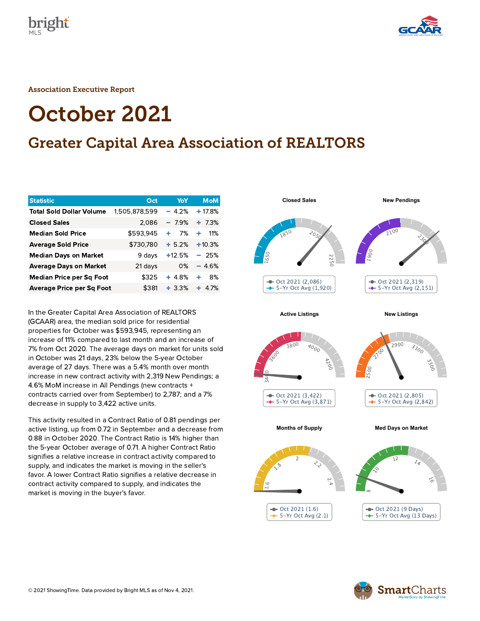



Association Executive Report

# October 2021

# Greater Capital Area Association of REALTORS

| <b>Statistic</b>                 | Oct           | YoY      | <b>MoM</b> |
|----------------------------------|---------------|----------|------------|
| <b>Total Sold Dollar Volume</b>  | 1,505,878,599 | $-4.2%$  | $+17.8%$   |
| <b>Closed Sales</b>              | 2,086         | $-7.9%$  | $+ 7.3%$   |
| <b>Median Sold Price</b>         | \$593,945     | 7%<br>÷  | 11%<br>÷   |
| <b>Average Sold Price</b>        | \$730,780     | $+5.2%$  | $+10.3%$   |
| <b>Median Days on Market</b>     | 9 days        | $+12.5%$ | $-25%$     |
| <b>Average Days on Market</b>    | 21 days       | 0%       | $-4.6%$    |
| <b>Median Price per Sq Foot</b>  | \$325         | $+4.8%$  | 8%<br>٠    |
| <b>Average Price per Sq Foot</b> | \$381         | $+3.3%$  | ٠<br>4.7%  |

In the Greater Capital Area Association of REALTORS (GCAAR) area, the median sold price for residential properties for October was \$593,945, representing an increase of 11% compared to last month and an increase of 7% from Oct 2020. The average days on market for units sold in October was 21 days, 23% below the 5-year October average of 27 days. There was a 5.4% month over month increase in new contract activity with 2,319 New Pendings; a 4.6% MoM increase in All Pendings (new contracts + contracts carried over from September) to 2,787; and a 7% decrease in supply to 3,422 active units.

This activity resulted in a Contract Ratio of 0.81 pendings per active listing, up from 0.72 in September and a decrease from 0.88 in October 2020. The Contract Ratio is 14% higher than the 5-year October average of 0.71. A higher Contract Ratio signifies a relative increase in contract activity compared to supply, and indicates the market is moving in the seller's favor. A lower Contract Ratio signifies a relative decrease in contract activity compared to supply, and indicates the market is moving in the buyer's favor.



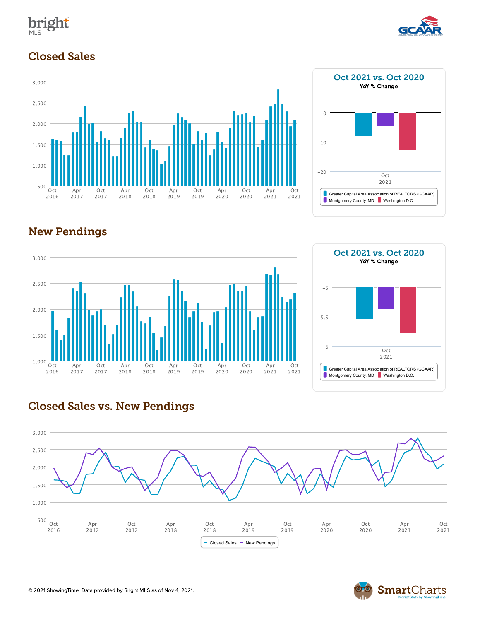



## Closed Sales







# Oct 2021 vs. Oct 2020 YoY % Change Greater Capital Area Association of REALTORS (GCAAR) Montgomery County, MD Washington D.C. Oct 2021 -20  $-10$  $\,$   $\,$   $\,$



#### Closed Sales vs. New Pendings



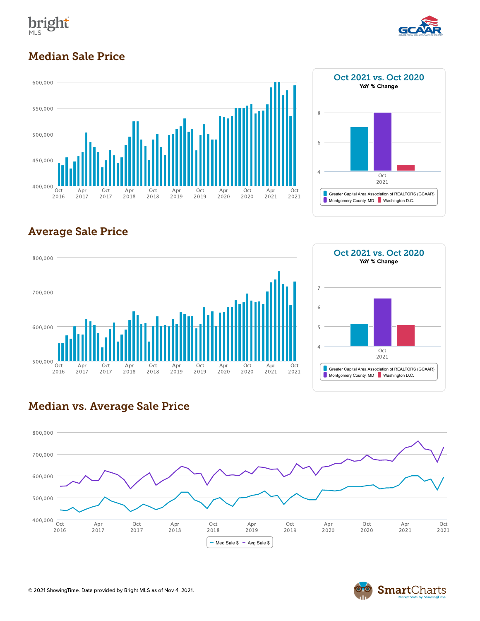



## Median Sale Price





# Average Sale Price





#### Median vs. Average Sale Price